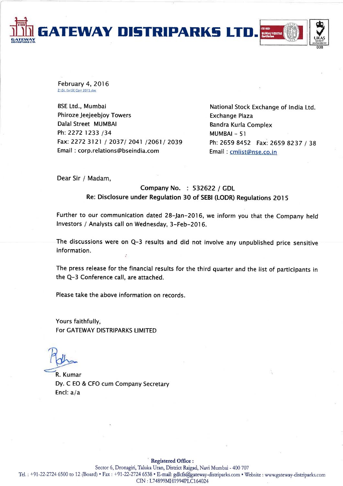**GATEWAY DISTRIPARKS LTD** 

February 4, 2016 Z:\St, Ex\SE Corr 2015.doc

**BSE Ltd., Mumbai Phiroze Jeejeebiov Towers** Dalal Street MUMBAI Ph: 2272 1233 /34 Fax: 2272 3121 / 2037/ 2041 /2061/ 2039 Email: corp.relations@bseindia.com

National Stock Exchange of India Ltd. **Exchange Plaza Bandra Kurla Complex** MUMBAI-51 Ph: 2659 8452 Fax: 2659 8237 / 38 Email: cmlist@nse.co.in

Dear Sir / Madam,

## Company No. : 532622 / GDL Re: Disclosure under Regulation 30 of SEBI (LODR) Regulations 2015

Further to our communication dated 28-Jan-2016, we inform you that the Company held Investors / Analysts call on Wednesday, 3-Feb-2016.

The discussions were on Q-3 results and did not involve any unpublished price sensitive information.

The press release for the financial results for the third quarter and the list of participants in the Q-3 Conference call, are attached.

Please take the above information on records.

Yours faithfully, For GATEWAY DISTRIPARKS LIMITED

R. Kumar Dy. C EO & CFO cum Company Secretary Encl:  $a/a$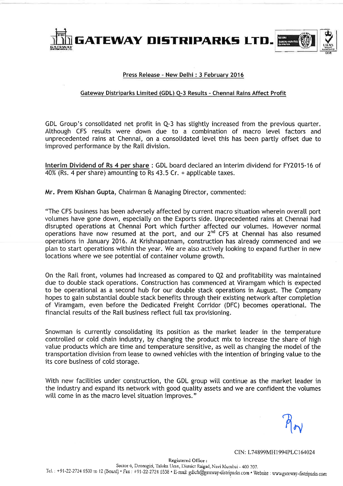

## Press Release - New Delhi : 3 February 2016

## Gateway Distriparks Limited (GDL) Q-3 Results - Chennai Rains Affect Profit

GDL Group's consolidated net profit in Q-3 has slightly increased from the previous quarter. Although CFS results were down due to a combination of macro level factors and unprecedented rains at Chennai, on a consolidated level this has been partly offset due to improved performance by the Rail division.

Interim Dividend of Rs 4 per share: GDL board declared an interim dividend for FY2015-16 of 40% (Rs. 4 per share) amounting to Rs 43.5 Cr. + applicable taxes.

Mr. Prem Kishan Gupta, Chairman & Managing Director, commented:

"The CFS business has been adversely affected by current macro situation wherein overall port volumes have gone down, especially on the Exports side. Unprecedented rains at Chennai had disrupted operations at Chennai Port which further affected our volumes. However normal operations have now resumed at the port, and our  $2^{nd}$  CFS at Chennai has also resumed operations in January 2016. At Krishnapatnam, construction has already commenced and we plan to start operations within the year. We are also actively looking to expand further in new locations where we see potential of container volume growth.

On the Rail front, volumes had increased as compared to Q2 and profitability was maintained due to double stack operations. Construction has commenced at Viramgam which is expected to be operational as a second hub for our double stack operations in August. The Company hopes to gain substantial double stack benefits through their existing network after completion of Viramgam, even before the Dedicated Freight Corridor (DFC) becomes operational. The financial results of the Rail business reflect full tax provisioning.

Snowman is currently consolidating its position as the market leader in the temperature controlled or cold chain industry, by changing the product mix to increase the share of high value products which are time and temperature sensitive, as well as changing the model of the transportation division from lease to owned vehicles with the intention of bringing value to the its core business of cold storage.

With new facilities under construction, the GDL group will continue as the market leader in the industry and expand its network with good quality assets and we are confident the volumes will come in as the macro level situation improves."

CIN: L74899MH1994PLC164024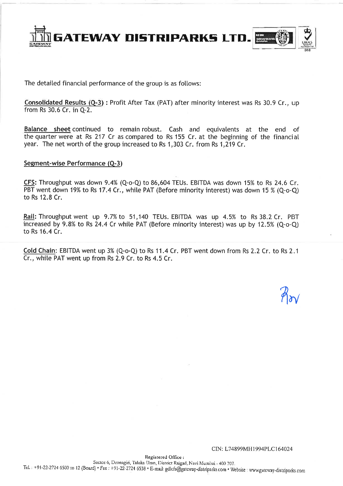

The detailed financial performance of the group is as follows:

Consolidated Results (Q-3): Profit After Tax (PAT) after minority interest was Rs 30.9 Cr., up from Rs 30.6 Cr. in Q-2.

Balance sheet continued to remain robust. Cash and equivalents at the end of the quarter were at Rs 217 Cr as compared to Rs 155 Cr. at the beginning of the financial year. The net worth of the group increased to Rs 1.303 Cr. from Rs 1.219 Cr.

## Segment-wise Performance (Q-3)

CFS: Throughput was down 9.4% (Q-o-Q) to 86,604 TEUs. EBITDA was down 15% to Rs 24.6 Cr. PBT went down 19% to Rs 17.4 Cr., while PAT (Before minority interest) was down 15 % (Q-o-Q) to Rs 12.8 Cr.

Rail: Throughput went up 9.7% to 51,140 TEUs. EBITDA was up 4.5% to Rs 38.2 Cr. PBT increased by 9.8% to Rs 24.4 Cr while PAT (Before minority interest) was up by 12.5% (Q-o-Q) to Rs 16.4 Cr.

Cold Chain: EBITDA went up 3% (Q-o-Q) to Rs 11.4 Cr. PBT went down from Rs 2.2 Cr. to Rs 2.1 Cr., while PAT went up from Rs 2.9 Cr. to Rs 4.5 Cr.

CIN: L74899MH1994PLC164024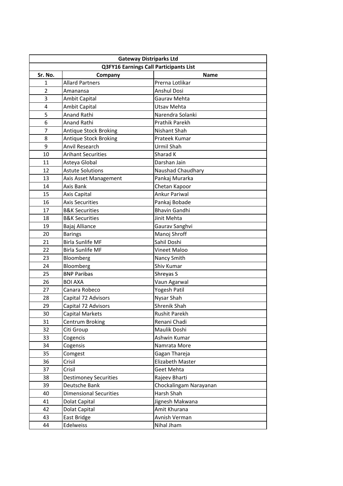| <b>Gateway Distriparks Ltd</b> |                                               |                         |  |  |
|--------------------------------|-----------------------------------------------|-------------------------|--|--|
|                                | <b>Q3FY16 Earnings Call Participants List</b> |                         |  |  |
| Sr. No.                        | Company                                       | <b>Name</b>             |  |  |
| 1                              | <b>Allard Partners</b>                        | Prerna Lotlikar         |  |  |
| 2                              | Amanansa                                      | <b>Anshul Dosi</b>      |  |  |
| 3                              | <b>Ambit Capital</b>                          | Gaurav Mehta            |  |  |
| 4                              | Ambit Capital                                 | Utsav Mehta             |  |  |
| 5                              | <b>Anand Rathi</b>                            | Narendra Solanki        |  |  |
| 6                              | Anand Rathi                                   | <b>Prathik Parekh</b>   |  |  |
| $\overline{7}$                 | Antique Stock Broking                         | Nishant Shah            |  |  |
| 8                              | <b>Antique Stock Broking</b>                  | Prateek Kumar           |  |  |
| 9                              | Anvil Research                                | Urmil Shah              |  |  |
| 10                             | <b>Arihant Securities</b>                     | Sharad K                |  |  |
| 11                             | Asteya Global                                 | Darshan Jain            |  |  |
| 12                             | <b>Astute Solutions</b>                       | Naushad Chaudhary       |  |  |
| 13                             | Axis Asset Management                         | Pankaj Murarka          |  |  |
| 14                             | Axis Bank                                     | Chetan Kapoor           |  |  |
| 15                             | Axis Capital                                  | <b>Ankur Pariwal</b>    |  |  |
| 16                             | <b>Axis Securities</b>                        | Pankaj Bobade           |  |  |
| 17                             | <b>B&amp;K Securities</b>                     | <b>Bhavin Gandhi</b>    |  |  |
| 18                             | <b>B&amp;K Securities</b>                     | Jinit Mehta             |  |  |
| 19                             | Bajaj Alliance                                | Gaurav Sanghvi          |  |  |
| 20                             | <b>Barings</b>                                | Manoj Shroff            |  |  |
| 21                             | <b>Birla Sunlife MF</b>                       | Sahil Doshi             |  |  |
| 22                             | <b>Birla Sunlife MF</b>                       | Vineet Maloo            |  |  |
| 23                             | Bloomberg                                     | Nancy Smith             |  |  |
| 24                             | Bloomberg                                     | Shiv Kumar              |  |  |
| 25                             | <b>BNP Paribas</b>                            | Shreyas S               |  |  |
| 26                             | <b>BOI AXA</b>                                | Vaun Agarwal            |  |  |
| 27                             | Canara Robeco                                 | Yogesh Patil            |  |  |
| 28                             | Capital 72 Advisors                           | Nysar Shah              |  |  |
| 29                             | Capital 72 Advisors                           | <b>Shrenik Shah</b>     |  |  |
| 30                             | Capital Markets                               | Rushit Parekh           |  |  |
| 31                             | Centrum Broking                               | Renani Chadi            |  |  |
| 32                             | Citi Group                                    | Maulik Doshi            |  |  |
| 33                             | Cogencis                                      | Ashwin Kumar            |  |  |
| 34                             | Cogensis                                      | Namrata More            |  |  |
| 35                             | Comgest                                       | Gagan Thareja           |  |  |
| 36                             | Crisil                                        | <b>Elizabeth Master</b> |  |  |
| 37                             | Crisil                                        | Geet Mehta              |  |  |
| 38                             | <b>Destimoney Securities</b>                  | Rajeev Bharti           |  |  |
| 39                             | Deutsche Bank                                 | Chockalingam Narayanan  |  |  |
| 40                             | <b>Dimensional Securities</b>                 | Harsh Shah              |  |  |
| 41                             | Dolat Capital                                 | Jignesh Makwana         |  |  |
| 42                             | Dolat Capital                                 | Amit Khurana            |  |  |
| 43                             | East Bridge                                   | Avnish Verman           |  |  |
| 44                             | Edelweiss                                     | Nihal Jham              |  |  |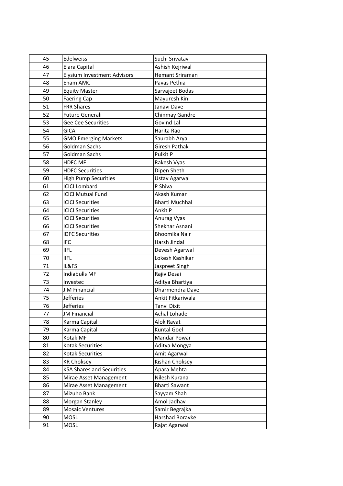| 45 | Edelweiss                          | Suchi Srivatav         |
|----|------------------------------------|------------------------|
| 46 | Elara Capital                      | Ashish Kejriwal        |
| 47 | <b>Elysium Investment Advisors</b> | <b>Hemant Sriraman</b> |
| 48 | Enam AMC                           | Pavas Pethia           |
| 49 | <b>Equity Master</b>               | Sarvajeet Bodas        |
| 50 | <b>Faering Cap</b>                 | Mayuresh Kini          |
| 51 | <b>FRR Shares</b>                  | Janavi Dave            |
| 52 | Future Generali                    | Chinmay Gandre         |
| 53 | Gee Cee Securities                 | <b>Govind Lal</b>      |
| 54 | <b>GICA</b>                        | Harita Rao             |
| 55 | <b>GMO Emerging Markets</b>        | Saurabh Arya           |
| 56 | Goldman Sachs                      | <b>Giresh Pathak</b>   |
| 57 | Goldman Sachs                      | Pulkit P               |
| 58 | <b>HDFC MF</b>                     | Rakesh Vyas            |
| 59 | <b>HDFC Securities</b>             | Dipen Sheth            |
| 60 | <b>High Pump Securities</b>        | Ustav Agarwal          |
| 61 | <b>ICICI Lombard</b>               | P Shiva                |
| 62 | <b>ICICI Mutual Fund</b>           | Akash Kumar            |
| 63 | <b>ICICI Securities</b>            | <b>Bharti Muchhal</b>  |
| 64 | <b>ICICI Securities</b>            | Ankit P                |
| 65 | <b>ICICI Securities</b>            | Anurag Vyas            |
| 66 | <b>ICICI Securities</b>            | Shekhar Asnani         |
| 67 | <b>IDFC Securities</b>             | <b>Bhoomika Nair</b>   |
| 68 | <b>IFC</b>                         | Harsh Jindal           |
| 69 | <b>IIFL</b>                        | Devesh Agarwal         |
| 70 | <b>IIFL</b>                        | Lokesh Kashikar        |
| 71 | IL&FS                              | Jaspreet Singh         |
| 72 | <b>Indiabulls MF</b>               | Rajiv Desai            |
| 73 | Investec                           | Aditya Bhartiya        |
| 74 | J M Financial                      | Dharmendra Dave        |
| 75 | <b>Jefferies</b>                   | Ankit Fitkariwala      |
| 76 | <b>Jefferies</b>                   | Tanvi Dixit            |
| 77 | <b>JM Financial</b>                | Achal Lohade           |
| 78 | Karma Capital                      | Alok Ravat             |
| 79 | Karma Capital                      | <b>Kuntal Goel</b>     |
| 80 | Kotak MF                           | Mandar Powar           |
| 81 | Kotak Securities                   | Aditya Mongya          |
| 82 | Kotak Securities                   | Amit Agarwal           |
| 83 | <b>KR Choksey</b>                  | Kishan Choksey         |
| 84 | <b>KSA Shares and Securities</b>   | Apara Mehta            |
| 85 | Mirae Asset Management             | Nilesh Kurana          |
| 86 | Mirae Asset Management             | <b>Bharti Sawant</b>   |
| 87 | Mizuho Bank                        | Sayyam Shah            |
| 88 | Morgan Stanley                     | Amol Jadhav            |
| 89 | <b>Mosaic Ventures</b>             | Samir Begrajka         |
| 90 | <b>MOSL</b>                        | Harshad Boravke        |
| 91 | <b>MOSL</b>                        | Rajat Agarwal          |